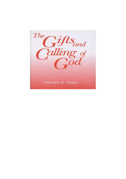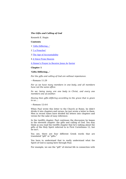## *The Gifts and Calling of God*

Kenneth E. Hagin

# **Contents**

1 'Gifts Differing...'

2 'I a Preacher'

3 The Age of Accountability

4 A Voice From Heaven

A Sinner's Prayer to Receive Jesus As Savior

## **Chapter 1**

# **'Gifts Differing...'**

*For the gifts and calling of God are without repentance.*

—Romans 11:29

*For as we have many members in one body, and all members have not the same office:*

*So we, being many, are one body in Christ, and every one members one of another.*

*Having then gifts differing according to the grace that is given to us....*

# $-Romans$  12.4-6

When Paul wrote this letter to the Church at Rome, he didn't divide it into chapters and verses; he just wrote a letter to them. Men in recent times have divided his letters into chapters and verses for the sake of easy reference.

In the twelfth chapter, Paul continues the discussion he began in the eleventh chapter: the gifts and calling of God. You may think as you read the twelfth chapter that he's talking about the gifts of the Holy Spirit referred to in First Corinthians 12, but he isn't.

You see, there are four different Greek words that are translated "gift" or "gifts."

You have to understand that to really understand what the Spirit of God is saying here through Paul.

For example, we see the "gift" of eternal life in connection with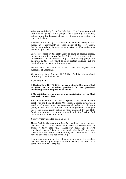salvation, and the "gift" of the Holy Spirit. The Greek word used here means "giving as to a pauper," or "a gratuity." Of course, salvation and the baptism of the Holy Spirit are free gifts; you can't merit them.

However, the word "gifts" in our texts, Romans 11:29; 12:4-6, means an "endowment" or "enduement" of the Holy Spirit. Paul's really talking here about ministries or offices—the gifts and calling of God.

People are gifted by the Holy Spirit to stand in certain offices, but we're not all endowed by the Spirit to do the same things, or to stand in the same offices. To put it another way, people are anointed by the Holy Spirit to obey certain callings, but we don't all have the same gift or anointing.

We *do* have the same Spirit, but there are degrees and measures of anointing.

We can see from Romans 12:6,7 that Paul is talking about different gifts and ministries.

## **ROMANS 12:6,7**

**6 Having then GIFTS differing according to the grace that is given to us, whether prophecy, let us prophesy according to the proportion of faith;**

# **7 Or ministry, let us wait on our ministering: or he that teacheth, on teaching.**

You know as well as I do that everybody is not called to be a teacher in the Body of Christ. Of course, a person could teach another whatever he or she knows—and probably could do a good job. But there's a difference in teaching someone what you know and being really called of God, anointed by the Holy Spirit, and equipped, endowed, and endued by the Spirit of God to stand in the *office* of teacher.

Not everybody is called to be a pastor.

Thank God for the pastoral office. We need even more pastors, because their office is needed and necessary. People need an overseer; they need that "shepherd." (The Greek word translated "pastor" is also translated "shepherd," and vice versa.) So thank God for that anointing, that enduement. I don't have it, because that's not my calling.

I know something about the calling or anointing of the teacher, because one of my callings is to be a teacher; the other is to stand in the office of prophet.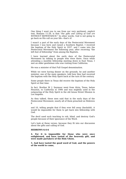One thing I want you to see from our very pertinent, explicit text, Romans 11:29, is that *"the gifts and calling of God are WITHOUT REPENTANCE*." In other words, God is not going to go back on His call on your life—that's it!

I wasn't a part of the early days of the Pentecostal Movement because I was born and raised a Southern Baptist. I received the baptism of the Holy Spirit in 1937, and I came into the Pentecostal Movement the following year, after receiving "the left foot of fellowship" from among the Baptists.

I have learned about the early days of the Pentecostal Movement by talking to people who were there. Once while attending a monthly fellowship meeting down in East Texas, I met an older gentleman who was visiting from California.

He was a minister of that Full Gospel denomination.

While we were having dinner on the grounds, he and another minister, one of the main speakers, told how they had received the baptism with the Holy Spirit back at the turn of the century.

Some people there in Texas did receive the baptism of the Holy Spirit at that time.

In fact, Brother W. J. Seymour went from Alvin, Texas, below Houston, to California in 1906 and was mightily used in the outpouring of the Holy Spirit in the old Azusa Street Mission in Los Angeles.

As they talked, these men said that in the early days of the Pentecostal Movement, nearly all of them preached on Hebrews 6

and 10, telling people that if they ever fell away (backslid), it would be impossible for them to get back into fellowship with God.

The devil used such teaching to rob, blind, and destroy God's people because of their ignorance of the Word.

Let's look at these verses, because they fit into our discussion about the gifts and calling of God.

## **HEBREWS 6:4-6**

**4. For it is impossible for those who were once enlightened, and have tasted of the heavenly gift, and were made partakers of the Holy Ghost,**

**5. And have tasted the good word of God, and the powers of the world to come,**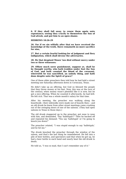**6. If they shall fall away, to renew them again unto repentance; seeing they crucify to themselves the Son of God afresh, and put him to an open shame.**

#### **HEBREWS 10:26-29**

**26. For if we sin wilfully after that we have received the knowledge of the truth, there remaineth no more sacrifice for sins,**

**27. But a certain fearful looking for of judgment and fiery indignation, which shall devour the adversaries.**

**28. He that despised Moses' law died without mercy under two or three witnesses:**

**29. Ofhow much sorer punishment, suppose ye, shall he be thought worthy, who hath trodden under foot the Son of God, and hath counted the blood of the covenant, wherewith he was sanctified, an unholy thing, and hath done despite unto the Spirit of grace?**

One of these older preachers then told how he had held a street meeting one Saturday afternoon down in Corsicana, Texas.

He didn't take up an offering, but God so blessed the people that they threw money at his feet. Now, this was at the turn of the century, when money wasn't plentiful like it is now, but he got a nice offering. When he counted it afterwards, he had \$28. He felt rich. That was a whole month's salary for that time.

After his meeting, the preacher was walking along the boardwalk—their sidewalks were made out of boards then— and an old drunk he knew from other street meetings came crashing out of the swinging doors of one of the saloons. (They had open saloons in Texas in those days.)

The old drunk staggered up to the preacher, got nose to nose with him, and demanded, "Say 'hallelujah'!" Then he backed off and repeated his demand: "You say 'hallelujah' or I'm going to knock you down!"

The preacher related, "I was stupid enough to say 'hallelujah,' and he hit me."

The drunk knocked the preacher through the window of the saloon, and that's the last thing he remembered. He fell into a pile of beer bottles, and spectators said that when he got up, he had a beer bottle in each hand and nearly beat the old drunk to death.

He told us, "I was so mad, that I can't remember any of it."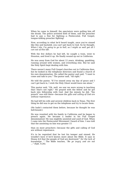When he came to himself, the spectators were pulling him off the drunk. The police arrested both of them, and the preacher had to pay a fine for fighting—a Pentecostal, Full Gospel, tongue-talking preacher fighting!

Now, according to what he'd heard taught, once you've sinned like this and backslid, you can't get back to God. So he thought, *When I die, I'm going to go to hell, so I might as well get all I can out of this life.*

With the few dollars he had left, he caught a train, went to Houston, and lived it up. He finally wound up out in California.

He was away from God for about 12 years, drinking, gambling, running around with women, and everything else. But he said the Holy Spirit kept dealing with him.

There weren't many Full Gospel churches out in California then, but he looked in the telephone directory and found a church of his own denomination. He called the pastor and said, "I want to come and talk to you." The pastor said, "All right."

He told the pastor, "If I've sinned away my day of grace and I can't get back in, I wish the Holy Ghost would leave me alone."

This pastor said, "Oh, well, we saw we were wrong in teaching that—that's not right." He prayed with the fellow and he got back into fellowship with God. And the minute he did, "the preach" was still there—because *the gifts and calling of God are without repentance.*

He had left his wife and several children back in Texas. The first thing he did was to get on the telephone and try to locate them.

(He hadn't contacted them before, because he thought he was hell-bound.)

He was reunited with his family in California and he began to preach again. He became a leader in his Full Gospel denomination! He was mightily anointed and used of God. When I came into the Pentecostal Movement I heard of him. I was told that the anointing on him was greater 15

than on most preachers—because the gifts and calling of God are without repentance.

It's to be regretted that he lost his temper and sinned. He wouldn't have if he'd known more about the Bible. It says in Hosea 4:6 that the people of God are destroyed " *for the lack of knowledge.* " The Bible teaches, *"Be ye angry, and sin not* ..." (Eph. 4:26).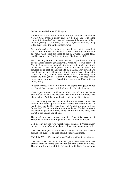Let's examine Hebrews 10:29 again.

Notice what the unpardonable or unforgiveable sin actually is: *"...who hath trodden under foot the Son of God, and hath counted the blood of the covenant, wherewith he was sanctified, an unholy thing...* ." Counting the blood of Jesus an unholy thing is the sin referred to in these Scriptures.

In church circles, theologians as a whole are not too sure just who wrote Hebrews. It sounds like Paul's writings to me, and one time when Jesus appeared to me in a vision, I asked Him, and He told me that Paul wrote it. And I believe he did!

Paul is writing here to Hebrew Christians. If you know anything about church history, you know that when these Jews accepted Christ, they were excommunicated from their family and their fellow Jews. They had it pretty hard, and some of them were tempted to go back to their old life in Judaism. They could have had it easier; their friends and family would have stood with them; and they would have been helped financially and materially. But, you see, if they had done that, then they would have been counting the blood they were sanctified with an unholy thing.

In other words, they would have been saying that Jesus is not the Son of God—Jesus is not the Messiah—He is just a man.

If He is just a man, His blood is unholy. But if He's the divine Son of God—if He's the Messiah—His blood is not unholy; His blood is holy! And that was the sin Paul was writing about.

Did that young preacher commit such a sin? Granted, he lost his temper and came up off the floor beating the drunk over the head with beer bottles, but that's not "trodding under foot the Son of God"! That's not the unpardonable sin. He did not count the blood of Jesus an unholy thing. He did not deny that Jesus Christ is the Divine Son of God.

The devil has used wrong teaching from this passage of Scripture to hinder a lot of people. Don't let him hinder you.

God doesn't repent. The Greek word translated "repentance" means a change of mind, a change of purpose, a change of will.

God never changes, so He doesn't change His will; He doesn't change His purpose; and He doesn't change His mind.

Hallelujah! The gifts and calling of God are without repentance.

God had *called* this man; God had *gifted* this man; and God didn't change His mind even though the man sinned and failed. The minute he got back into fellowship with God, the call was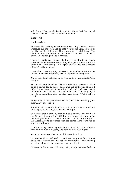still there. What should he do with it? Thank God, he obeyed God and became a nationally known minister.

#### **Chapter 2**

#### **'I a Preacher'**

Whatever God called you to do—whatever He gifted you to do whatever He endowed and endued you by the Spirit of God to do—the call is still there. The endowment is still there. The enduement is still there. If you'll *obey* it and walk with God, often the anointing will be *increased.*

However, just because we're called to the ministry doesn't mean we're all called to do the same thing. One place where ministers often miss it is in trying to be a "jack of all trades and a master of none" in the ministry.

Even when I was a young minister, I heard other ministers say of certain church programs, "We all ought to be doing that."

No, if God didn't call and equip you to do it, you shouldn't be doing it.

That would be like saying, "We all ought to be pastors." I tried to be a pastor for 12 years, and I was out of the will of God. I didn't know I was out of the will of God, and God permitted it for a while, but the time came when He said, "You're going to have to do something else—or else!" And I said, "Well, I believe I will."

Being only in the permissive will of God is like washing your feet with your socks on.

You may not realize what's wrong, but you know something isn't quite right; something just doesn't feel right.

So I know that everybody shouldn't be a pastor, although I tell our Rhema students that I think every evangelist ought to be made to pastor for at least two years. It would do him good. He'd learn how to cooperate with the pastor. He'd learn *not* to say certain things.

And then every pastor ought to be forced out into field ministry for a minimum of two years, and he'd learn something too.

We need one another. We need different ministries.

In Romans 12:4, Paul said "... *we have many members in one body, and all members have not the same office.* " Paul is using the physical body as a type of the Body of Christ.

In verse 5, he writes, " *So we, being many, are one body in*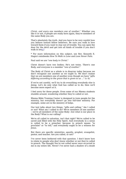*Christ, and every one members one of another.''* Whether you like it or not, if people are really born again, they're members of the same Body you are.

That's absolutely the truth. And you have to be very careful how you behave toward fellow believers. Be sure you walk in love toward them if you want to stay out of trouble. You can open the door for the devil and get into all kinds of trouble if you don't walk in love.\*

\* For more information on this subject, see Rev. Kenneth E. Hagin's minibooks *How To Walk in Love* and *Love Never Fails.*

Paul said we are *"one body in Christ."*

Christ doesn't have two bodies; He's not twins. There's one Body, and everyone is a member *"one of another.''*

The Body of Christ as a whole is in disarray today because we don't recognize one another as we ought to. We don't realize that we are members one of another even though we have *"gifts differing according to the grace that is given to us* ..." (v. 6).

If we're not careful, we'll try to do everything everybody else is doing. Let's do only what God has called us to do; then we'll become more expert at it.

I feel sorry for these people. Even some of our Rhema students stumble around, wondering whether they're called or not.

Rhema Bible Training Center is designed to train people for the ministry, but everybody doesn't go into full-time ministry. For example, some are in the ministry of helps.

Our text talks about two things: "gifts and calling." Am I called or not? What am I called to do? We're members of one another —we're all members of the same Body—but what is our place in the Body? What is our calling?

We're all called to salvation, isn't that right? We're called to be saved and filled with the Holy Spirit. And everybody in a sense is called to be a preacher, because to preach means "to proclaim" or "to tell," and everybody ought to be a witness for Jesus.

But there are specific ministries: apostle, prophet, evangelist, pastor, and teacher. Are you called, or not?

I've never been bothered with that question. I don't know how to relate to people who don't know whether or not they're called to preach. The thought *You're not called* never once occurred to me in my entire life. Never! I've never had a shadow of a doubt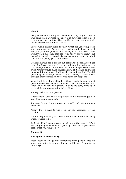## about it.

I've just known all of my life—even as a little, bitty kid—that I was going to be a preacher. I knew it in my spirit. (People need to examine their spirits. The trouble is, they examine their heads, and there's not much there!)

People would ask my older brother, "What are you going to be when you grow up?" We were born and raised in Texas, so he'd always say he was going to be a cowboy or a truck driver. They wouldn't ask me—they thought I was too young to know—but my relatives said I would always speak up, even though I couldn't talk plainly yet, "I a peacher!"

Grandpa always had a garden out behind the house. After I got to be 3 to 5 years of age, I'd go out in the garden and preach to the cabbage heads. (If we didn't eat the cabbage when it was fresh, Granny would make sauerkraut out of it, can it, and use it in many different ways.) I tell people I sometimes think I'm still preaching to cabbage heads! Those cabbage heads never changed their expression; there was never any response.

When I got tired of preaching to cabbage heads. I'd go over and preach to the bean vines for a while. Then, in the winter time, when we didn't have any garden, I'd go to the barn, climb up in the hayloft, and preach to the bales of hay.

You say, "What did you preach?"

I don't know. I just had that "preach" in me. If you've got it in you, it's going to come out.

*You don't have to train a rooster to crow!* I could stand up on a fence and

"crow," but I'd have to put it on. But it's automatic for the rooster.

I did all right as long as I was a little child. I knew all along what I wanted to be.

As I got older, I could answer people when they asked, "What are you going to be when you grow up?" I'd say, "A preacher that's what I'm going to be!"

## **Chapter 3**

# **The Age of Accountability**

After I reached the age of accountability, when people asked me what I was going to be when I grew up, I'd reply, "I'm going to be a lawyer.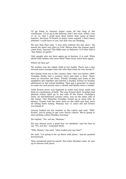I'd go listen to lawyers argue cases all day long at the courthouse. I'd sit up in the balcony. And I was sure, when I was 11 or 12, that I could have done better than some of those lawyers, because I'd heard so many cases argued. I don't know whether I could have or not, but that was my thinking.

We saw that Paul said, "I was alive without the law once." He meant his spirit was alive to God. Where does the human spirit come from, anyway? The Bible says in Hebrews 12:9 that God is "the Father of spirits."

Only people who are born again go to heaven, it is said. What about little babies who have died? They never were born again.

Where do they go?

My mother was the oldest child in her family. There was a boy several years younger than she who died when he was barely 9.

Her family lived out in the country then—this was before 1900. Grandpa Drake had a country store and later a farm. There were no churches out there. Finally Grandpa and some of the neighbors got together and started a Sunday School on Sunday afternoons in the school building. They got a preacher to agree to come out and preach once a month and finally twice a month.

Little Ernest never was baptized in water and never made any kind of a profession of faith. The year Ernest died, Grandpa had planted cotton right up to one side of the house. Grandpa's store, an old-fashioned country store, was on the other side of the house. One Saturday Grandpa closed up at noon time as always. Granny had the noon meal on the table and they were all sitting there eating. Momma was 11 years old and Ernest was barely 9.

Granny looked out the window at the cotton and said, "Well, Ernest, you're going to get your heart's desire. We're going to start picking cotton Monday morning."

He replied, "No, not me, Momma."

He was always such a good boy—so obedient—and for him to say "No, not me," surprised them.

"Why, Honey," she said, "what makes you say that?"

He said, "I'm going to be up there with Jesus," and he pointed heavenward.

They wondered what he meant. But when Monday came, he was up in heaven with Jesus.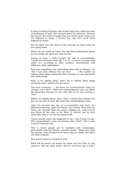It always bothered Granny that Ernest had never made any kind of profession of faith. She worried about his salvation, because the church she went to taught that you aren't saved unless you are baptized in water a certain way, and he'd never been baptized in water.

But his spirit was still alive to God, because he knew when he was going home.

Where do you think he went? He told them beforehand where he was going; his spirit was alive to God.

Sooner or later, a child reaches the age of accountability. Usually it's anywhere from age 9 to 12. It may be younger with some. It's according to their intellect, environment, and influence—their upbringing.

Paul says something very interesting about this in Romans 7:9, *"For I was alive without the law once.* . . . " He couldn't be talking about being *physically* alive, because he was physically alive afterwards.

What is he talking about, then? He is talking about being *spiritually* alive "without the law once."

The verse continues, "... *but when the commandment came, sin revived, and I died.* " When the commandment came, he didn't die physically, because he was still alive as he was writing to them.

What's he talking about, then? Paul is saying that without the law, he was alive to God. But when the commandment came—

*when he reached the age of accountability and knew the difference between right and wrong*—sin revived. What does he mean, sin revived? That sin nature (original sin, some call it) was there all the time in his flesh. It revived and he died spiritually; that is, he lost his spiritual life.

I know exactly when this happened to me. I was 9 years of age. The commandment came, sin revived, and I "died." Did I cease to exist? Certainly not!

This is where people get so confused with terminology; particularly with the phrase "spiritual death." When they hear this phrase, they interpret it to mean *physical* death, but that's not what it means.

Paul doesn't mean he ceased to exist.

What did he mean? He meant his spirit was not alive to God anymore. And my spirit wasn't alive to God from age 9 until I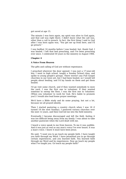got saved at age 15.

The minute I was born again, my spirit was alive to God again, and that call was right there. I didn't know what the call was, other than a call to preach. In fact, the first thing I said to God after I was born again was, "You get me up from here, and I'll go preach."

I was bedfast 16 months before I was healed, but, thank God, I was healed. I left that bed preaching, and I've been preaching ever since. I celebrated 50 years in the ministry in August 1984.

# **Chapter 4**

## **A Voice From Heaven**

The gifts and calling of God are without repentance.

I preached wherever the door opened. I was just a 17-year-old boy. I went to high school, taught a Sunday School class, and spoke to young people's groups. There weren't any Full Gospel churches in our town yet, but I had been healed, so I would tell people about healing, and I'd lay hands on them and get them healed.

I'd go visit some church, and if they wanted somebody to mow the yard, I was the first one to volunteer. If they wanted someone to sweep the floor, I was the first one to volunteer. (When you volunteer to work for God, He's liable to promote you!) I would also lead home prayer meetings.

We'd have a Bible study and do some praying, but not a lot, because we all prayed silently.

Then I started pastoring a country church when I was 18 (I turned 19 the next Sunday). I pastored various churches over the next 12 years, and then God led me into the field ministry.

Eventually I became discouraged and left the field, feeling it was too difficult being away from my family. I was about to take another pastorate when the Lord dealt with me.

I heard a voice speak to me from heaven. To me it was audible. And it was just as real as any man's voice I've ever heard. It was a man's voice. I know it must have been Jesus.

He said, "I want you to go teach my people faith. I have taught you faith through my Word. I have permitted you to go through certain experiences, and you learned faith. You learned faith through my Word and by experiences. Now go teach my people what I've taught you. Go teach my people faith!"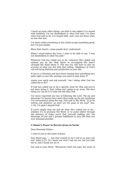I teach on many other things, yet faith is one subject I've stayed with faithfully. I'm not disobedient to what God said. I've done what God said to do. I've taught faith, and I was out there when no one else was.

I've been called everything in the world except something good, but I've just smiled.

Bless their hearts—some people don't understand.

When I stand before the Lord, I want to be able to say, "I was not disobedient to what You said."

Whatever God has called you to do—whatever He's gifted and endued you by the Holy Spirit to accomplish—He hasn't changed His mind about it. One day you will have to give an account of what you did with that calling. Obedience to God's call will bring blessing and satisfaction to your life.

If you're a Christian and have been sensing that something isn't quite right in your life, perhaps you need to look down 37

inside your spirit and ask yourself, "Am I doing what God has called me to do?"

If God has called you to do a specific work for Him and you've not been doing it, that calling isn't going to go away. The best thing you can do is to step out and obey God.

I've never regretted one day of following the Lord. The joy and blessings I've known have more than made up for any hardships I've encountered along the way. God said in His Word, *"If ye be willing and obedient, ye shall eat the good of the land"* (Isa. 1:19). I'm glad I obeyed God!

If you'll simply step out and do what He's called you to do whether it's to proclaim His Word, or to assist others through the ministry of helps—you'll find yourself walking into the blessings of God and a greater fulfillment in your life than you ever dreamed possible.

#### **A Sinner's Prayer to Receive Jesus As Savior**

Dear Heavenly Father ...

I come to you in the name of Jesus.

Your Word says, *"... him that cometh to me I will in no wise cast out"* (John 6:37), So I know you won't cast me out, but you take me in, And I thank you for it.

You said in your Word, *"Whosoever shall call upon the name of*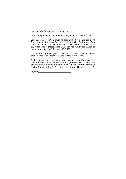*the Lord shall be saved"* (Rom. 10:13).

I am calling on your name, So I know you have saved me now.

You also said, *"if thou shalt confess with thy mouth the Lord Jesus, and shalt believe in thine heart that God hath raised him from the dead, thou shalt be saved. For with the heart man believeth unto righteousness; and with the mouth confession is made unto salvation"* (Romans 10:9-10).

I believe in my heart Jesus Christ is the Son of God. I believe that He was raised from the dead for my justification.

And I confess Him now as my Lord, Because your Word says, *"... with the heart man believeth unto righteousness ..."* and I do believe with my heart, I have now become the righteousness of God in Christ (2 Cor. 5:21) ... And I am saved! Thank you, Lord!

Signed \_\_\_\_\_\_\_\_\_\_\_\_\_\_\_\_\_\_\_\_\_\_\_\_\_\_\_\_\_\_\_\_\_

Date \_\_\_\_\_\_\_\_\_\_\_\_\_\_\_\_\_\_\_\_\_\_\_\_\_\_\_\_\_\_\_\_\_\_\_